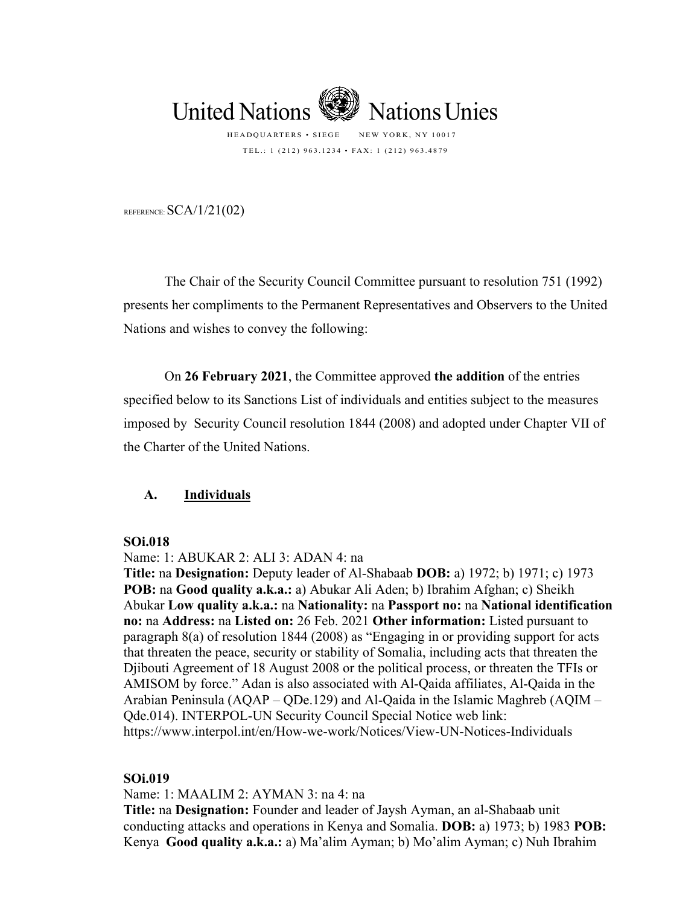

TEL.: 1 (212) 963.1234 • FAX: 1 (212) 963.4879

REFERENCE:  $SCA/1/21(02)$ 

The Chair of the Security Council Committee pursuant to resolution 751 (1992) presents her compliments to the Permanent Representatives and Observers to the United Nations and wishes to convey the following:

On **26 February 2021**, the Committee approved **the addition** of the entries specified below to its Sanctions List of individuals and entities subject to the measures imposed by Security Council resolution 1844 (2008) and adopted under Chapter VII of the Charter of the United Nations.

### **A. Individuals**

#### **SOi.018**

Name: 1: ABUKAR 2: ALI 3: ADAN 4: na

**Title:** na **Designation:** Deputy leader of Al-Shabaab **DOB:** a) 1972; b) 1971; c) 1973 **POB:** na **Good quality a.k.a.:** a) Abukar Ali Aden; b) Ibrahim Afghan; c) Sheikh Abukar **Low quality a.k.a.:** na **Nationality:** na **Passport no:** na **National identification no:** na **Address:** na **Listed on:** 26 Feb. 2021 **Other information:** Listed pursuant to paragraph 8(a) of resolution 1844 (2008) as "Engaging in or providing support for acts that threaten the peace, security or stability of Somalia, including acts that threaten the Djibouti Agreement of 18 August 2008 or the political process, or threaten the TFIs or AMISOM by force." Adan is also associated with Al-Qaida affiliates, Al-Qaida in the Arabian Peninsula (AQAP – QDe.129) and Al-Qaida in the Islamic Maghreb (AQIM – Qde.014). INTERPOL-UN Security Council Special Notice web link: https://www.interpol.int/en/How-we-work/Notices/View-UN-Notices-Individuals

#### **SOi.019**

Name: 1: MAALIM 2: AYMAN 3: na 4: na

**Title:** na **Designation:** Founder and leader of Jaysh Ayman, an al-Shabaab unit conducting attacks and operations in Kenya and Somalia. **DOB:** a) 1973; b) 1983 **POB:** Kenya **Good quality a.k.a.:** a) Ma'alim Ayman; b) Mo'alim Ayman; c) Nuh Ibrahim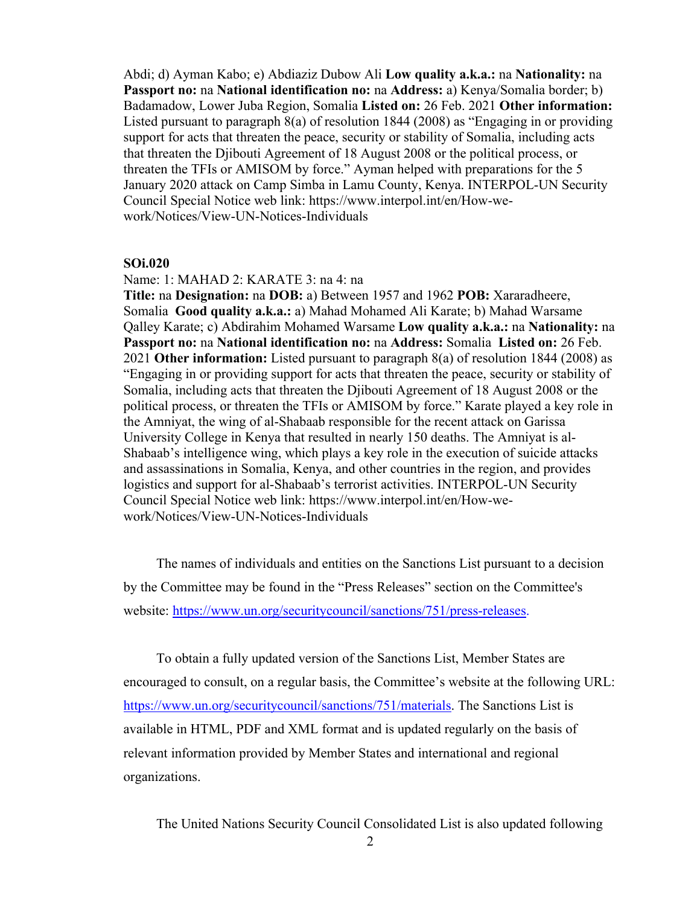Abdi; d) Ayman Kabo; e) Abdiaziz Dubow Ali **Low quality a.k.a.:** na **Nationality:** na **Passport no:** na **National identification no:** na **Address:** a) Kenya/Somalia border; b) Badamadow, Lower Juba Region, Somalia **Listed on:** 26 Feb. 2021 **Other information:** Listed pursuant to paragraph 8(a) of resolution 1844 (2008) as "Engaging in or providing support for acts that threaten the peace, security or stability of Somalia, including acts that threaten the Djibouti Agreement of 18 August 2008 or the political process, or threaten the TFIs or AMISOM by force." Ayman helped with preparations for the 5 January 2020 attack on Camp Simba in Lamu County, Kenya. INTERPOL-UN Security Council Special Notice web link: https://www.interpol.int/en/How-wework/Notices/View-UN-Notices-Individuals

#### **SOi.020**

Name: 1: MAHAD 2: KARATE 3: na 4: na

**Title:** na **Designation:** na **DOB:** a) Between 1957 and 1962 **POB:** Xararadheere, Somalia **Good quality a.k.a.:** a) Mahad Mohamed Ali Karate; b) Mahad Warsame Qalley Karate; c) Abdirahim Mohamed Warsame **Low quality a.k.a.:** na **Nationality:** na **Passport no:** na **National identification no:** na **Address:** Somalia **Listed on:** 26 Feb. 2021 **Other information:** Listed pursuant to paragraph 8(a) of resolution 1844 (2008) as "Engaging in or providing support for acts that threaten the peace, security or stability of Somalia, including acts that threaten the Djibouti Agreement of 18 August 2008 or the political process, or threaten the TFIs or AMISOM by force." Karate played a key role in the Amniyat, the wing of al-Shabaab responsible for the recent attack on Garissa University College in Kenya that resulted in nearly 150 deaths. The Amniyat is al-Shabaab's intelligence wing, which plays a key role in the execution of suicide attacks and assassinations in Somalia, Kenya, and other countries in the region, and provides logistics and support for al-Shabaab's terrorist activities. INTERPOL-UN Security Council Special Notice web link: https://www.interpol.int/en/How-wework/Notices/View-UN-Notices-Individuals

The names of individuals and entities on the Sanctions List pursuant to a decision by the Committee may be found in the "Press Releases" section on the Committee's website: [https://www.un.org/securitycouncil/sanctions/751/press-releases.](https://www.un.org/securitycouncil/sanctions/751/press-releases)

To obtain a fully updated version of the Sanctions List, Member States are encouraged to consult, on a regular basis, the Committee's website at the following URL: [https://www.un.org/securitycouncil/sanctions/751/materials.](https://www.un.org/securitycouncil/sanctions/751/materials) The Sanctions List is available in HTML, PDF and XML format and is updated regularly on the basis of relevant information provided by Member States and international and regional organizations.

The United Nations Security Council Consolidated List is also updated following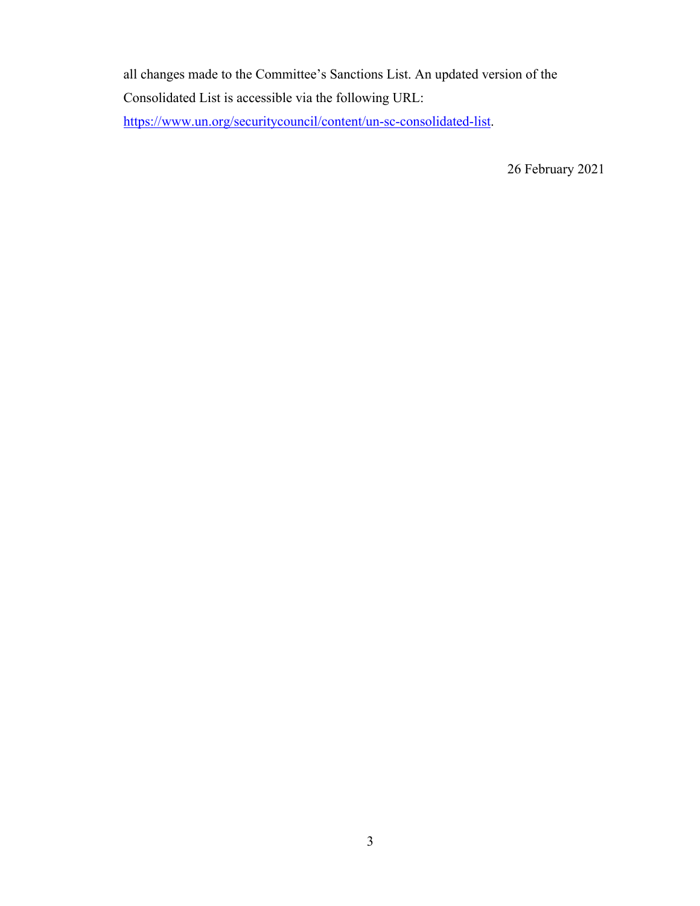all changes made to the Committee's Sanctions List. An updated version of the Consolidated List is accessible via the following URL: [https://www.un.org/securitycouncil/content/un-sc-consolidated-list.](https://www.un.org/securitycouncil/content/un-sc-consolidated-list)

26 February 2021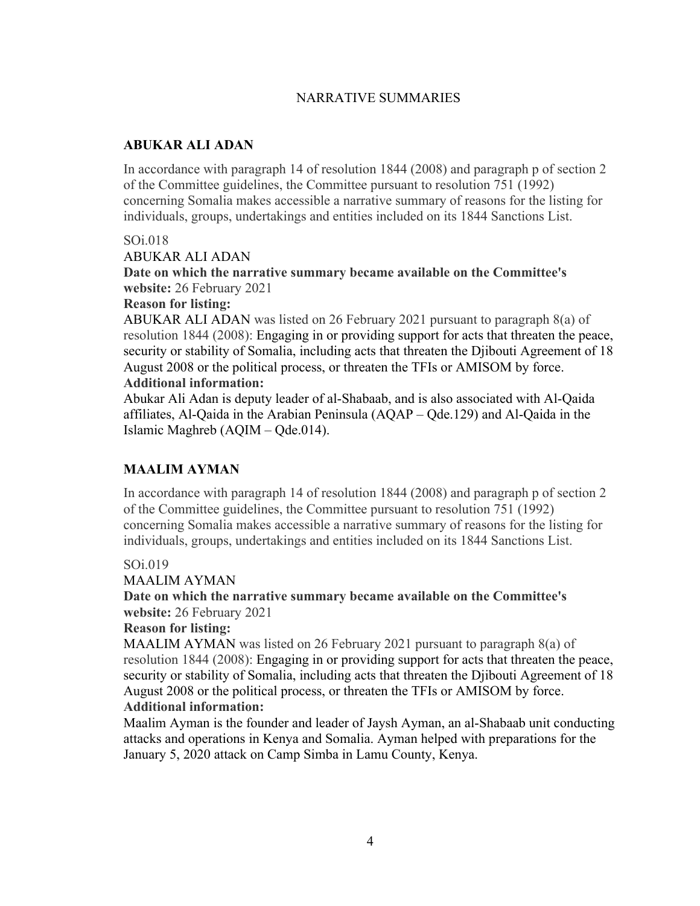# NARRATIVE SUMMARIES

## **ABUKAR ALI ADAN**

In accordance with paragraph 14 of resolution 1844 (2008) and paragraph p of section 2 of the Committee guidelines, the Committee pursuant to resolution 751 (1992) concerning Somalia makes accessible a narrative summary of reasons for the listing for individuals, groups, undertakings and entities included on its 1844 Sanctions List.

## SOi.018

ABUKAR ALI ADAN

**Date on which the narrative summary became available on the Committee's website:** 26 February 2021

### **Reason for listing:**

ABUKAR ALI ADAN was listed on 26 February 2021 pursuant to paragraph 8(a) of resolution 1844 (2008): Engaging in or providing support for acts that threaten the peace, security or stability of Somalia, including acts that threaten the Djibouti Agreement of 18 August 2008 or the political process, or threaten the TFIs or AMISOM by force. **Additional information:**

Abukar Ali Adan is deputy leader of al-Shabaab, and is also associated with Al-Qaida affiliates, Al-Qaida in the Arabian Peninsula (AQAP – Qde.129) and Al-Qaida in the Islamic Maghreb (AQIM – Qde.014).

# **MAALIM AYMAN**

In accordance with paragraph 14 of resolution 1844 (2008) and paragraph p of section 2 of the Committee guidelines, the Committee pursuant to resolution 751 (1992) concerning Somalia makes accessible a narrative summary of reasons for the listing for individuals, groups, undertakings and entities included on its 1844 Sanctions List.

### SOi.019

MAALIM AYMAN

**Date on which the narrative summary became available on the Committee's website:** 26 February 2021

### **Reason for listing:**

MAALIM AYMAN was listed on 26 February 2021 pursuant to paragraph  $8(a)$  of resolution 1844 (2008): Engaging in or providing support for acts that threaten the peace, security or stability of Somalia, including acts that threaten the Djibouti Agreement of 18 August 2008 or the political process, or threaten the TFIs or AMISOM by force. **Additional information:**

Maalim Ayman is the founder and leader of Jaysh Ayman, an al-Shabaab unit conducting attacks and operations in Kenya and Somalia. Ayman helped with preparations for the January 5, 2020 attack on Camp Simba in Lamu County, Kenya.